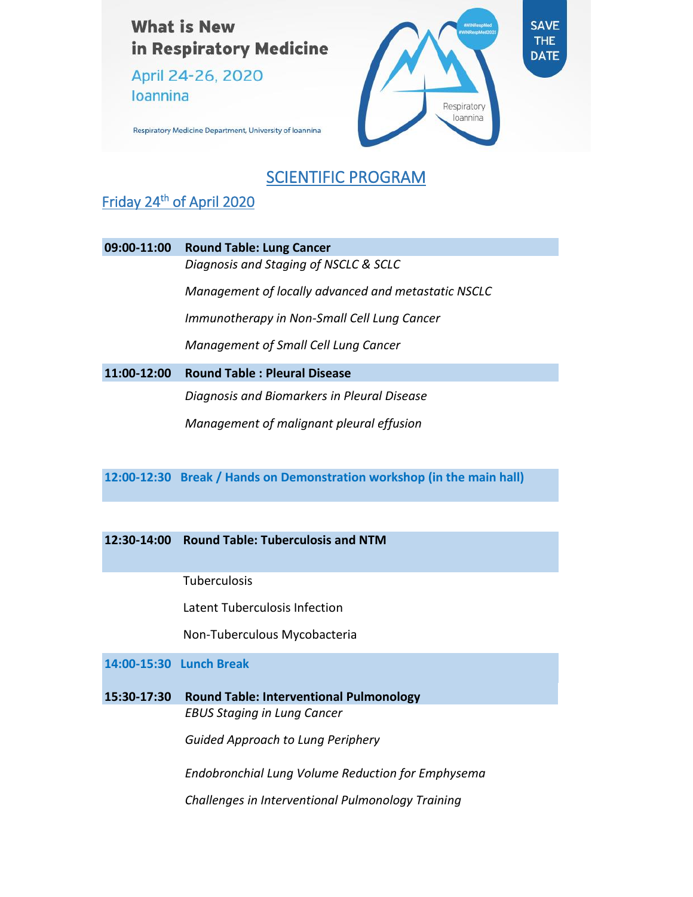**What is New** in Respiratory Medicine

April 24-26, 2020 **Ioannina** 



Respiratory Medicine Department, University of Ioannina

## SCIENTIFIC PROGRAM

### Friday 24<sup>th</sup> of April 2020

| 09:00-11:00 | <b>Round Table: Lung Cancer</b>                     |
|-------------|-----------------------------------------------------|
|             | Diagnosis and Staging of NSCLC & SCLC               |
|             | Management of locally advanced and metastatic NSCLC |
|             | Immunotherapy in Non-Small Cell Lung Cancer         |
|             | Management of Small Cell Lung Cancer                |
| 11:00-12:00 | <b>Round Table: Pleural Disease</b>                 |
|             | nte e estadounido de la contende de la Internaci    |

*Diagnosis and Biomarkers in Pleural Disease Management of malignant pleural effusion*

**12:00-12:30 Break / Hands on Demonstration workshop (in the main hall)**

#### **12:30-14:00 Round Table: Tuberculosis and NTM**

**Tuberculosis** 

Latent Tuberculosis Infection

Non-Tuberculous Mycobacteria

**14:00-15:30 Lunch Break**

**15:30-17:30 Round Table: Interventional Pulmonology** *EBUS Staging in Lung Cancer*

*Guided Approach to Lung Periphery*

*Endobronchial Lung Volume Reduction for Emphysema*

*Challenges in Interventional Pulmonology Training*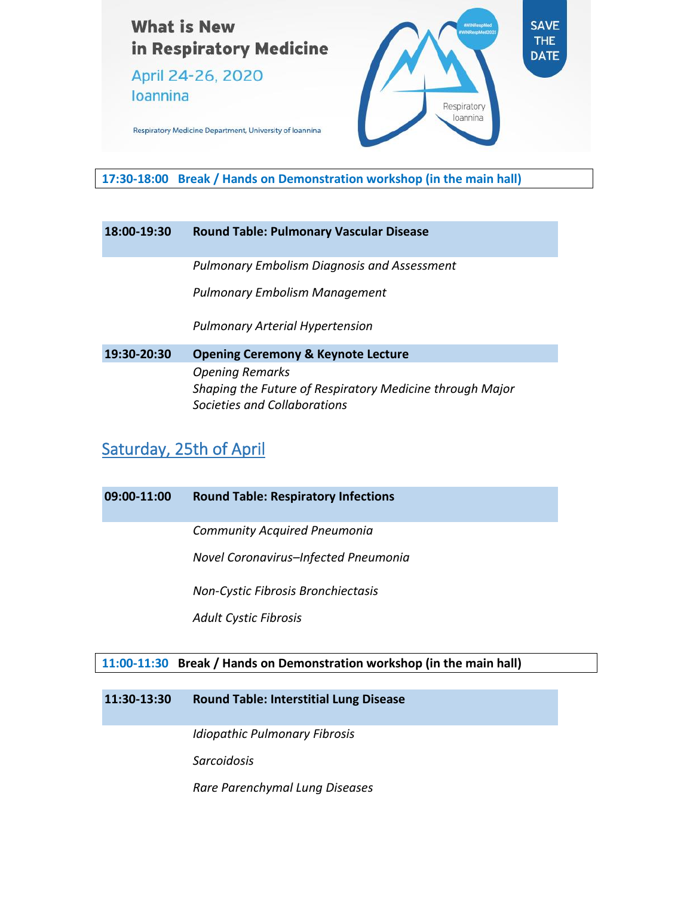

April 24-26, 2020 **Ioannina** 



Respiratory Medicine Department, University of Ioannina

**17:30-18:00 Break / Hands on Demonstration workshop (in the main hall)**

#### **18:00-19:30 Round Table: Pulmonary Vascular Disease**

*Pulmonary Embolism Diagnosis and Assessment*

*Pulmonary Embolism Management*

*Pulmonary Arterial Hypertension*

**19:30-20:30 Opening Ceremony & Keynote Lecture** *Opening Remarks Shaping the Future of Respiratory Medicine through Major Societies and Collaborations*

## Saturday, 25th of April

| 09:00-11:00 | <b>Round Table: Respiratory Infections</b>                             |
|-------------|------------------------------------------------------------------------|
|             | <b>Community Acquired Pneumonia</b>                                    |
|             | Novel Coronavirus-Infected Pneumonia                                   |
|             | Non-Cystic Fibrosis Bronchiectasis                                     |
|             | <b>Adult Cystic Fibrosis</b>                                           |
|             |                                                                        |
|             | 11:00-11:30 Break / Hands on Demonstration workshop (in the main hall) |

**11:30-13:30 Round Table: Interstitial Lung Disease**

*Idiopathic Pulmonary Fibrosis*

*Sarcoidosis*

*Rare Parenchymal Lung Diseases*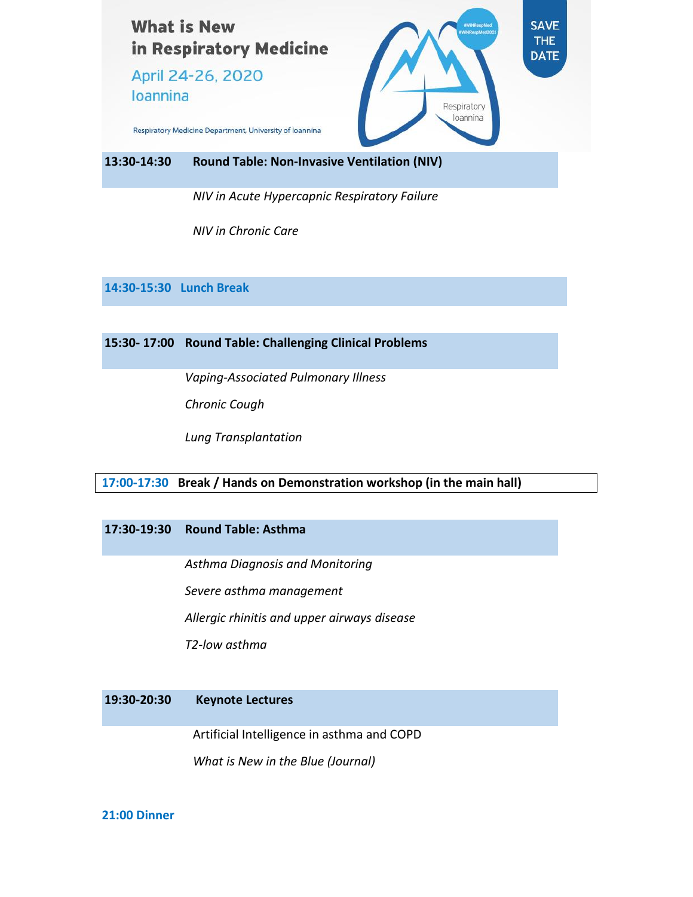

*NIV in Acute Hypercapnic Respiratory Failure*

*NIV in Chronic Care*

**14:30-15:30 Lunch Break**

**15:30- 17:00 Round Table: Challenging Clinical Problems**

*Vaping-Associated Pulmonary Illness*

*Chronic Cough*

*Lung Transplantation*

#### **17:00-17:30 Break / Hands on Demonstration workshop (in the main hall)**

#### **17:30-19:30 Round Table: Asthma**

*Asthma Diagnosis and Monitoring*

*Severe asthma management*

*Allergic rhinitis and upper airways disease*

*T2-low asthma*

#### **19:30-20:30 Keynote Lectures**

Artificial Intelligence in asthma and COPD

*What is New in the Blue (Journal)*

#### **21:00 Dinner**